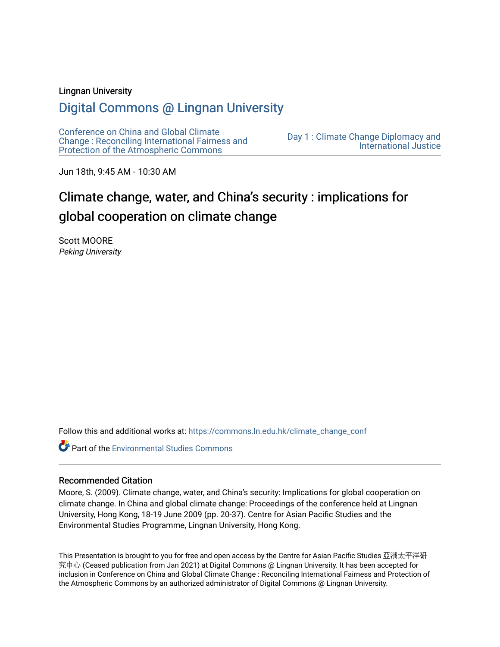# Lingnan University

# [Digital Commons @ Lingnan University](https://commons.ln.edu.hk/)

[Conference on China and Global Climate](https://commons.ln.edu.hk/climate_change_conf)  [Change : Reconciling International Fairness and](https://commons.ln.edu.hk/climate_change_conf)  [Protection of the Atmospheric Commons](https://commons.ln.edu.hk/climate_change_conf)

[Day 1 : Climate Change Diplomacy and](https://commons.ln.edu.hk/climate_change_conf/day1)  [International Justice](https://commons.ln.edu.hk/climate_change_conf/day1) 

Jun 18th, 9:45 AM - 10:30 AM

# Climate change, water, and China's security : implications for global cooperation on climate change

Scott MOORE Peking University

Follow this and additional works at: [https://commons.ln.edu.hk/climate\\_change\\_conf](https://commons.ln.edu.hk/climate_change_conf?utm_source=commons.ln.edu.hk%2Fclimate_change_conf%2Fday1%2Fs1%2F2&utm_medium=PDF&utm_campaign=PDFCoverPages) 

**Part of the [Environmental Studies Commons](https://network.bepress.com/hgg/discipline/1333?utm_source=commons.ln.edu.hk%2Fclimate_change_conf%2Fday1%2Fs1%2F2&utm_medium=PDF&utm_campaign=PDFCoverPages)** 

## Recommended Citation

Moore, S. (2009). Climate change, water, and China's security: Implications for global cooperation on climate change. In China and global climate change: Proceedings of the conference held at Lingnan University, Hong Kong, 18-19 June 2009 (pp. 20-37). Centre for Asian Pacific Studies and the Environmental Studies Programme, Lingnan University, Hong Kong.

This Presentation is brought to you for free and open access by the Centre for Asian Pacific Studies 亞洲太平洋研 究中心 (Ceased publication from Jan 2021) at Digital Commons @ Lingnan University. It has been accepted for inclusion in Conference on China and Global Climate Change : Reconciling International Fairness and Protection of the Atmospheric Commons by an authorized administrator of Digital Commons @ Lingnan University.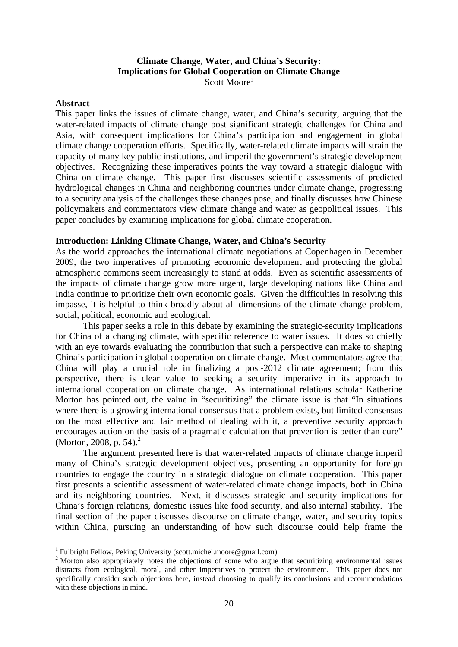# **Climate Change, Water, and China's Security: Implications for Global Cooperation on Climate Change**  Scott Moore<sup>1</sup>

#### **Abstract**

1

This paper links the issues of climate change, water, and China's security, arguing that the water-related impacts of climate change post significant strategic challenges for China and Asia, with consequent implications for China's participation and engagement in global climate change cooperation efforts. Specifically, water-related climate impacts will strain the capacity of many key public institutions, and imperil the government's strategic development objectives. Recognizing these imperatives points the way toward a strategic dialogue with China on climate change. This paper first discusses scientific assessments of predicted hydrological changes in China and neighboring countries under climate change, progressing to a security analysis of the challenges these changes pose, and finally discusses how Chinese policymakers and commentators view climate change and water as geopolitical issues. This paper concludes by examining implications for global climate cooperation.

# **Introduction: Linking Climate Change, Water, and China's Security**

As the world approaches the international climate negotiations at Copenhagen in December 2009, the two imperatives of promoting economic development and protecting the global atmospheric commons seem increasingly to stand at odds. Even as scientific assessments of the impacts of climate change grow more urgent, large developing nations like China and India continue to prioritize their own economic goals. Given the difficulties in resolving this impasse, it is helpful to think broadly about all dimensions of the climate change problem, social, political, economic and ecological.

This paper seeks a role in this debate by examining the strategic-security implications for China of a changing climate, with specific reference to water issues. It does so chiefly with an eye towards evaluating the contribution that such a perspective can make to shaping China's participation in global cooperation on climate change. Most commentators agree that China will play a crucial role in finalizing a post-2012 climate agreement; from this perspective, there is clear value to seeking a security imperative in its approach to international cooperation on climate change. As international relations scholar Katherine Morton has pointed out, the value in "securitizing" the climate issue is that "In situations where there is a growing international consensus that a problem exists, but limited consensus on the most effective and fair method of dealing with it, a preventive security approach encourages action on the basis of a pragmatic calculation that prevention is better than cure" (Morton, 2008, p. 54).<sup>2</sup>

The argument presented here is that water-related impacts of climate change imperil many of China's strategic development objectives, presenting an opportunity for foreign countries to engage the country in a strategic dialogue on climate cooperation. This paper first presents a scientific assessment of water-related climate change impacts, both in China and its neighboring countries. Next, it discusses strategic and security implications for China's foreign relations, domestic issues like food security, and also internal stability. The final section of the paper discusses discourse on climate change, water, and security topics within China, pursuing an understanding of how such discourse could help frame the

<sup>&</sup>lt;sup>1</sup> Fulbright Fellow, Peking University (scott.michel.moore@gmail.com)

<sup>&</sup>lt;sup>2</sup> Morton also appropriately notes the objections of some who argue that securitizing environmental issues distracts from ecological, moral, and other imperatives to protect the environment. This paper does not specifically consider such objections here, instead choosing to qualify its conclusions and recommendations with these objections in mind.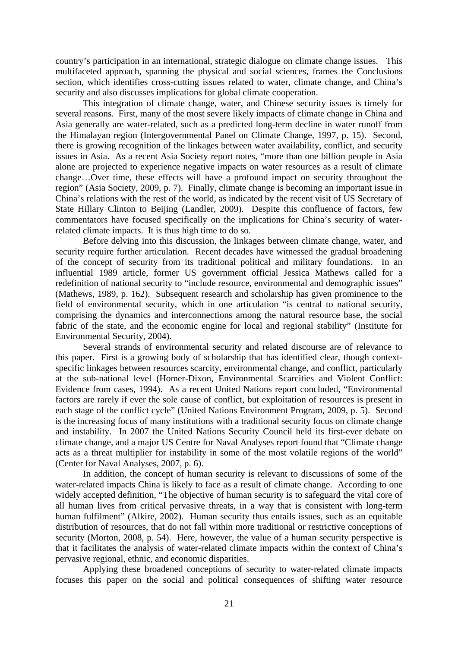country's participation in an international, strategic dialogue on climate change issues. This multifaceted approach, spanning the physical and social sciences, frames the Conclusions section, which identifies cross-cutting issues related to water, climate change, and China's security and also discusses implications for global climate cooperation.

This integration of climate change, water, and Chinese security issues is timely for several reasons. First, many of the most severe likely impacts of climate change in China and Asia generally are water-related, such as a predicted long-term decline in water runoff from the Himalayan region (Intergovernmental Panel on Climate Change, 1997, p. 15). Second, there is growing recognition of the linkages between water availability, conflict, and security issues in Asia. As a recent Asia Society report notes, "more than one billion people in Asia alone are projected to experience negative impacts on water resources as a result of climate change…Over time, these effects will have a profound impact on security throughout the region" (Asia Society, 2009, p. 7). Finally, climate change is becoming an important issue in China's relations with the rest of the world, as indicated by the recent visit of US Secretary of State Hillary Clinton to Beijing (Landler, 2009). Despite this confluence of factors, few commentators have focused specifically on the implications for China's security of waterrelated climate impacts. It is thus high time to do so.

Before delving into this discussion, the linkages between climate change, water, and security require further articulation. Recent decades have witnessed the gradual broadening of the concept of security from its traditional political and military foundations. In an influential 1989 article, former US government official Jessica Mathews called for a redefinition of national security to "include resource, environmental and demographic issues" (Mathews, 1989, p. 162). Subsequent research and scholarship has given prominence to the field of environmental security, which in one articulation "is central to national security, comprising the dynamics and interconnections among the natural resource base, the social fabric of the state, and the economic engine for local and regional stability" (Institute for Environmental Security, 2004).

Several strands of environmental security and related discourse are of relevance to this paper. First is a growing body of scholarship that has identified clear, though contextspecific linkages between resources scarcity, environmental change, and conflict, particularly at the sub-national level (Homer-Dixon, Environmental Scarcities and Violent Conflict: Evidence from cases, 1994). As a recent United Nations report concluded, "Environmental factors are rarely if ever the sole cause of conflict, but exploitation of resources is present in each stage of the conflict cycle" (United Nations Environment Program, 2009, p. 5). Second is the increasing focus of many institutions with a traditional security focus on climate change and instability. In 2007 the United Nations Security Council held its first-ever debate on climate change, and a major US Centre for Naval Analyses report found that "Climate change acts as a threat multiplier for instability in some of the most volatile regions of the world" (Center for Naval Analyses, 2007, p. 6).

In addition, the concept of human security is relevant to discussions of some of the water-related impacts China is likely to face as a result of climate change. According to one widely accepted definition, "The objective of human security is to safeguard the vital core of all human lives from critical pervasive threats, in a way that is consistent with long-term human fulfilment" (Alkire, 2002). Human security thus entails issues, such as an equitable distribution of resources, that do not fall within more traditional or restrictive conceptions of security (Morton, 2008, p. 54). Here, however, the value of a human security perspective is that it facilitates the analysis of water-related climate impacts within the context of China's pervasive regional, ethnic, and economic disparities.

Applying these broadened conceptions of security to water-related climate impacts focuses this paper on the social and political consequences of shifting water resource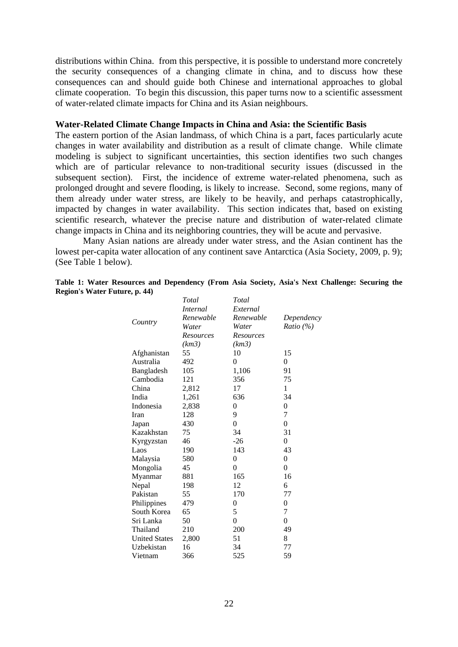distributions within China. from this perspective, it is possible to understand more concretely the security consequences of a changing climate in china, and to discuss how these consequences can and should guide both Chinese and international approaches to global climate cooperation. To begin this discussion, this paper turns now to a scientific assessment of water-related climate impacts for China and its Asian neighbours.

## **Water-Related Climate Change Impacts in China and Asia: the Scientific Basis**

The eastern portion of the Asian landmass, of which China is a part, faces particularly acute changes in water availability and distribution as a result of climate change. While climate modeling is subject to significant uncertainties, this section identifies two such changes which are of particular relevance to non-traditional security issues (discussed in the subsequent section). First, the incidence of extreme water-related phenomena, such as prolonged drought and severe flooding, is likely to increase. Second, some regions, many of them already under water stress, are likely to be heavily, and perhaps catastrophically, impacted by changes in water availability. This section indicates that, based on existing scientific research, whatever the precise nature and distribution of water-related climate change impacts in China and its neighboring countries, they will be acute and pervasive.

Many Asian nations are already under water stress, and the Asian continent has the lowest per-capita water allocation of any continent save Antarctica (Asia Society, 2009, p. 9); (See Table 1 below).

|  |                                      | Table 1: Water Resources and Dependency (From Asia Society, Asia's Next Challenge: Securing the |  |  |  |  |
|--|--------------------------------------|-------------------------------------------------------------------------------------------------|--|--|--|--|
|  | <b>Region's Water Future, p. 44)</b> |                                                                                                 |  |  |  |  |

|                      | Total          | Total          |                |  |
|----------------------|----------------|----------------|----------------|--|
|                      | Internal       | External       |                |  |
|                      | Renewable      | Renewable      | Dependency     |  |
| Country              | Water          | Water          | Ratio (%)      |  |
|                      | Resources      | Resources      |                |  |
|                      | (km3)<br>(km3) |                |                |  |
| Afghanistan          | 55             | 10             | 15             |  |
| Australia            | 492            | 0              | 0              |  |
| Bangladesh           | 105            | 1,106          | 91             |  |
| Cambodia             | 121            | 356            | 75             |  |
| China                | 2,812          | 17             | 1              |  |
| India                | 1,261          | 636            | 34             |  |
| Indonesia            | 2,838          | 0              | $\overline{0}$ |  |
| Iran                 | 128            | 9              | 7              |  |
| Japan                | 430            | 0              | $\overline{0}$ |  |
| Kazakhstan           | 75             | 34             | 31             |  |
| Kyrgyzstan           | 46             | $-26$          | $\overline{0}$ |  |
| Laos                 | 190            | 143            | 43             |  |
| Malaysia             | 580            | 0              | 0              |  |
| Mongolia             | 45             | $\overline{0}$ | $\overline{0}$ |  |
| Myanmar              | 881            | 165            | 16             |  |
| Nepal                | 198            | 12             | 6              |  |
| Pakistan             | 55             | 170            | 77             |  |
| Philippines          | 479            | 0              | 0              |  |
| South Korea          | 65             | 5              | 7              |  |
| Sri Lanka            | 50             | 0              | $\overline{0}$ |  |
| Thailand             | 210            | 200            | 49             |  |
| <b>United States</b> | 2,800          | 51             | 8              |  |
| Uzbekistan           | 16             | 34             | 77             |  |
| Vietnam              | 366            | 525            | 59             |  |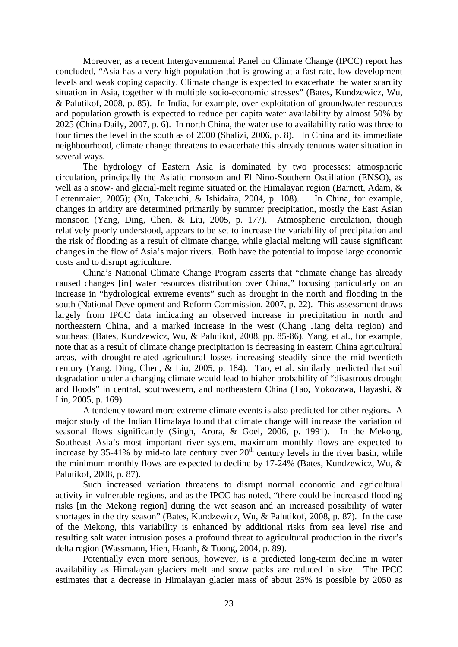Moreover, as a recent Intergovernmental Panel on Climate Change (IPCC) report has concluded, "Asia has a very high population that is growing at a fast rate, low development levels and weak coping capacity. Climate change is expected to exacerbate the water scarcity situation in Asia, together with multiple socio-economic stresses" (Bates, Kundzewicz, Wu, & Palutikof, 2008, p. 85). In India, for example, over-exploitation of groundwater resources and population growth is expected to reduce per capita water availability by almost 50% by 2025 (China Daily, 2007, p. 6). In north China, the water use to availability ratio was three to four times the level in the south as of 2000 (Shalizi, 2006, p. 8). In China and its immediate neighbourhood, climate change threatens to exacerbate this already tenuous water situation in several ways.

The hydrology of Eastern Asia is dominated by two processes: atmospheric circulation, principally the Asiatic monsoon and El Nino-Southern Oscillation (ENSO), as well as a snow- and glacial-melt regime situated on the Himalayan region (Barnett, Adam, & Lettenmaier, 2005); (Xu, Takeuchi, & Ishidaira, 2004, p. 108). In China, for example, changes in aridity are determined primarily by summer precipitation, mostly the East Asian monsoon (Yang, Ding, Chen, & Liu, 2005, p. 177). Atmospheric circulation, though relatively poorly understood, appears to be set to increase the variability of precipitation and the risk of flooding as a result of climate change, while glacial melting will cause significant changes in the flow of Asia's major rivers. Both have the potential to impose large economic costs and to disrupt agriculture.

China's National Climate Change Program asserts that "climate change has already caused changes [in] water resources distribution over China," focusing particularly on an increase in "hydrological extreme events" such as drought in the north and flooding in the south (National Development and Reform Commission, 2007, p. 22). This assessment draws largely from IPCC data indicating an observed increase in precipitation in north and northeastern China, and a marked increase in the west (Chang Jiang delta region) and southeast (Bates, Kundzewicz, Wu, & Palutikof, 2008, pp. 85-86). Yang, et al., for example, note that as a result of climate change precipitation is decreasing in eastern China agricultural areas, with drought-related agricultural losses increasing steadily since the mid-twentieth century (Yang, Ding, Chen, & Liu, 2005, p. 184). Tao, et al. similarly predicted that soil degradation under a changing climate would lead to higher probability of "disastrous drought and floods" in central, southwestern, and northeastern China (Tao, Yokozawa, Hayashi, & Lin, 2005, p. 169).

A tendency toward more extreme climate events is also predicted for other regions. A major study of the Indian Himalaya found that climate change will increase the variation of seasonal flows significantly (Singh, Arora, & Goel, 2006, p. 1991). In the Mekong, Southeast Asia's most important river system, maximum monthly flows are expected to increase by 35-41% by mid-to late century over  $20<sup>th</sup>$  century levels in the river basin, while the minimum monthly flows are expected to decline by 17-24% (Bates, Kundzewicz, Wu, & Palutikof, 2008, p. 87).

Such increased variation threatens to disrupt normal economic and agricultural activity in vulnerable regions, and as the IPCC has noted, "there could be increased flooding risks [in the Mekong region] during the wet season and an increased possibility of water shortages in the dry season" (Bates, Kundzewicz, Wu, & Palutikof, 2008, p. 87). In the case of the Mekong, this variability is enhanced by additional risks from sea level rise and resulting salt water intrusion poses a profound threat to agricultural production in the river's delta region (Wassmann, Hien, Hoanh, & Tuong, 2004, p. 89).

Potentially even more serious, however, is a predicted long-term decline in water availability as Himalayan glaciers melt and snow packs are reduced in size. The IPCC estimates that a decrease in Himalayan glacier mass of about 25% is possible by 2050 as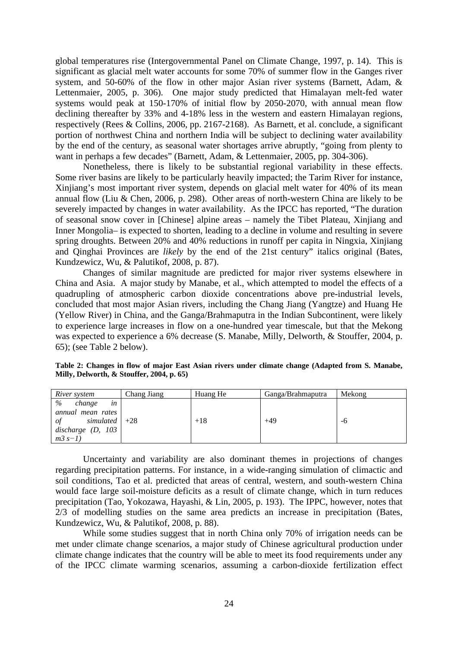global temperatures rise (Intergovernmental Panel on Climate Change, 1997, p. 14). This is significant as glacial melt water accounts for some 70% of summer flow in the Ganges river system, and 50-60% of the flow in other major Asian river systems (Barnett, Adam, & Lettenmaier, 2005, p. 306). One major study predicted that Himalayan melt-fed water systems would peak at 150-170% of initial flow by 2050-2070, with annual mean flow declining thereafter by 33% and 4-18% less in the western and eastern Himalayan regions, respectively (Rees & Collins, 2006, pp. 2167-2168). As Barnett, et al. conclude, a significant portion of northwest China and northern India will be subject to declining water availability by the end of the century, as seasonal water shortages arrive abruptly, "going from plenty to want in perhaps a few decades" (Barnett, Adam, & Lettenmaier, 2005, pp. 304-306).

Nonetheless, there is likely to be substantial regional variability in these effects. Some river basins are likely to be particularly heavily impacted; the Tarim River for instance, Xinjiang's most important river system, depends on glacial melt water for 40% of its mean annual flow (Liu & Chen, 2006, p. 298). Other areas of north-western China are likely to be severely impacted by changes in water availability. As the IPCC has reported, "The duration of seasonal snow cover in [Chinese] alpine areas – namely the Tibet Plateau, Xinjiang and Inner Mongolia– is expected to shorten, leading to a decline in volume and resulting in severe spring droughts. Between 20% and 40% reductions in runoff per capita in Ningxia, Xinjiang and Qinghai Provinces are *likely* by the end of the 21st century" italics original (Bates, Kundzewicz, Wu, & Palutikof, 2008, p. 87).

Changes of similar magnitude are predicted for major river systems elsewhere in China and Asia. A major study by Manabe, et al., which attempted to model the effects of a quadrupling of atmospheric carbon dioxide concentrations above pre-industrial levels, concluded that most major Asian rivers, including the Chang Jiang (Yangtze) and Huang He (Yellow River) in China, and the Ganga/Brahmaputra in the Indian Subcontinent, were likely to experience large increases in flow on a one-hundred year timescale, but that the Mekong was expected to experience a 6% decrease (S. Manabe, Milly, Delworth, & Stouffer, 2004, p. 65); (see Table 2 below).

| River system                                                                                                   | Chang Jiang | Huang He | Ganga/Brahmaputra | Mekong |
|----------------------------------------------------------------------------------------------------------------|-------------|----------|-------------------|--------|
| $\%$<br>change<br>in<br>annual mean rates<br>simulated $ +28$<br>$\sigma f$<br>discharge $(D, 103)$<br>$m3s-1$ |             | $+18$    | $+49$             | -6     |

**Table 2: Changes in flow of major East Asian rivers under climate change (Adapted from S. Manabe, Milly, Delworth, & Stouffer, 2004, p. 65)** 

 Uncertainty and variability are also dominant themes in projections of changes regarding precipitation patterns. For instance, in a wide-ranging simulation of climactic and soil conditions, Tao et al. predicted that areas of central, western, and south-western China would face large soil-moisture deficits as a result of climate change, which in turn reduces precipitation (Tao, Yokozawa, Hayashi, & Lin, 2005, p. 193). The IPPC, however, notes that 2/3 of modelling studies on the same area predicts an increase in precipitation (Bates, Kundzewicz, Wu, & Palutikof, 2008, p. 88).

While some studies suggest that in north China only 70% of irrigation needs can be met under climate change scenarios, a major study of Chinese agricultural production under climate change indicates that the country will be able to meet its food requirements under any of the IPCC climate warming scenarios, assuming a carbon-dioxide fertilization effect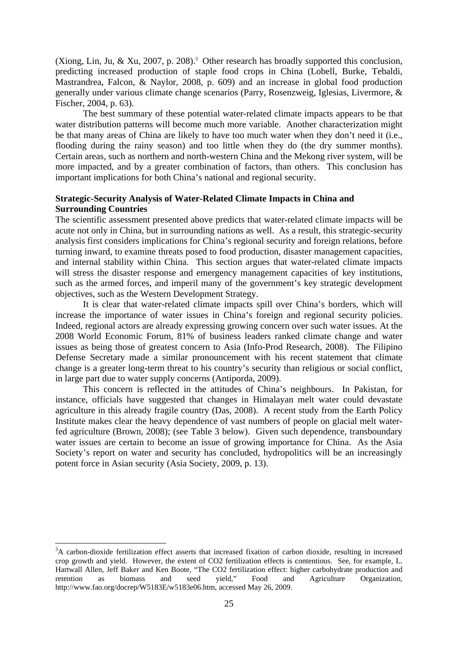(Xiong, Lin, Ju, & Xu, 2007, p. 208).<sup>3</sup> Other research has broadly supported this conclusion, predicting increased production of staple food crops in China (Lobell, Burke, Tebaldi, Mastrandrea, Falcon, & Naylor, 2008, p. 609) and an increase in global food production generally under various climate change scenarios (Parry, Rosenzweig, Iglesias, Livermore, & Fischer, 2004, p. 63).

The best summary of these potential water-related climate impacts appears to be that water distribution patterns will become much more variable. Another characterization might be that many areas of China are likely to have too much water when they don't need it (i.e., flooding during the rainy season) and too little when they do (the dry summer months). Certain areas, such as northern and north-western China and the Mekong river system, will be more impacted, and by a greater combination of factors, than others. This conclusion has important implications for both China's national and regional security.

# **Strategic-Security Analysis of Water-Related Climate Impacts in China and Surrounding Countries**

The scientific assessment presented above predicts that water-related climate impacts will be acute not only in China, but in surrounding nations as well. As a result, this strategic-security analysis first considers implications for China's regional security and foreign relations, before turning inward, to examine threats posed to food production, disaster management capacities, and internal stability within China. This section argues that water-related climate impacts will stress the disaster response and emergency management capacities of key institutions, such as the armed forces, and imperil many of the government's key strategic development objectives, such as the Western Development Strategy.

It is clear that water-related climate impacts spill over China's borders, which will increase the importance of water issues in China's foreign and regional security policies. Indeed, regional actors are already expressing growing concern over such water issues. At the 2008 World Economic Forum, 81% of business leaders ranked climate change and water issues as being those of greatest concern to Asia (Info-Prod Research, 2008). The Filipino Defense Secretary made a similar pronouncement with his recent statement that climate change is a greater long-term threat to his country's security than religious or social conflict, in large part due to water supply concerns (Antiporda, 2009).

This concern is reflected in the attitudes of China's neighbours. In Pakistan, for instance, officials have suggested that changes in Himalayan melt water could devastate agriculture in this already fragile country (Das, 2008). A recent study from the Earth Policy Institute makes clear the heavy dependence of vast numbers of people on glacial melt waterfed agriculture (Brown, 2008); (see Table 3 below). Given such dependence, transboundary water issues are certain to become an issue of growing importance for China. As the Asia Society's report on water and security has concluded, hydropolitics will be an increasingly potent force in Asian security (Asia Society, 2009, p. 13).

1

<sup>&</sup>lt;sup>3</sup>A carbon-dioxide fertilization effect asserts that increased fixation of carbon dioxide, resulting in increased crop growth and yield. However, the extent of CO2 fertilization effects is contentious. See, for example, L. Hartwall Allen, Jeff Baker and Ken Boote, "The CO2 fertilization effect: higher carbohydrate production and retention as biomass and seed yield," Food and Agriculture Organization, http://www.fao.org/docrep/W5183E/w5183e06.htm, accessed May 26, 2009.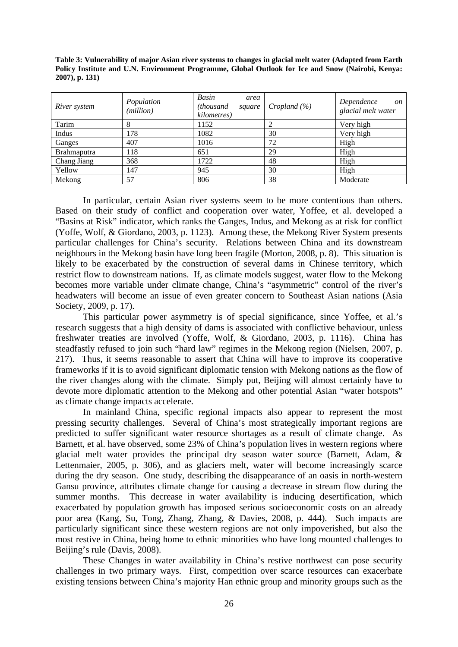**Table 3: Vulnerability of major Asian river systems to changes in glacial melt water (Adapted from Earth Policy Institute and U.N. Environment Programme, Global Outlook for Ice and Snow (Nairobi, Kenya: 2007), p. 131)** 

| River system | Population<br>( <i>million</i> ) | <b>Basin</b><br>area<br>(thousand<br>square<br>kilometres) | Cropland $(\% )$ | Dependence<br><sub>on</sub><br>glacial melt water |
|--------------|----------------------------------|------------------------------------------------------------|------------------|---------------------------------------------------|
| Tarim        | 8                                | 1152                                                       |                  | Very high                                         |
| Indus        | 178                              | 1082                                                       | 30               | Very high                                         |
| Ganges       | 407                              | 1016                                                       | 72               | High                                              |
| Brahmaputra  | 118                              | 651                                                        | 29               | High                                              |
| Chang Jiang  | 368                              | 1722                                                       | 48               | High                                              |
| Yellow       | 147                              | 945                                                        | 30               | High                                              |
| Mekong       | 57                               | 806                                                        | 38               | Moderate                                          |

 In particular, certain Asian river systems seem to be more contentious than others. Based on their study of conflict and cooperation over water, Yoffee, et al. developed a "Basins at Risk" indicator, which ranks the Ganges, Indus, and Mekong as at risk for conflict (Yoffe, Wolf, & Giordano, 2003, p. 1123). Among these, the Mekong River System presents particular challenges for China's security. Relations between China and its downstream neighbours in the Mekong basin have long been fragile (Morton, 2008, p. 8). This situation is likely to be exacerbated by the construction of several dams in Chinese territory, which restrict flow to downstream nations. If, as climate models suggest, water flow to the Mekong becomes more variable under climate change, China's "asymmetric" control of the river's headwaters will become an issue of even greater concern to Southeast Asian nations (Asia Society, 2009, p. 17).

This particular power asymmetry is of special significance, since Yoffee, et al.'s research suggests that a high density of dams is associated with conflictive behaviour, unless freshwater treaties are involved (Yoffe, Wolf, & Giordano, 2003, p. 1116). China has steadfastly refused to join such "hard law" regimes in the Mekong region (Nielsen, 2007, p. 217). Thus, it seems reasonable to assert that China will have to improve its cooperative frameworks if it is to avoid significant diplomatic tension with Mekong nations as the flow of the river changes along with the climate. Simply put, Beijing will almost certainly have to devote more diplomatic attention to the Mekong and other potential Asian "water hotspots" as climate change impacts accelerate.

In mainland China, specific regional impacts also appear to represent the most pressing security challenges. Several of China's most strategically important regions are predicted to suffer significant water resource shortages as a result of climate change. As Barnett, et al. have observed, some 23% of China's population lives in western regions where glacial melt water provides the principal dry season water source (Barnett, Adam, & Lettenmaier, 2005, p. 306), and as glaciers melt, water will become increasingly scarce during the dry season. One study, describing the disappearance of an oasis in north-western Gansu province, attributes climate change for causing a decrease in stream flow during the summer months. This decrease in water availability is inducing desertification, which exacerbated by population growth has imposed serious socioeconomic costs on an already poor area (Kang, Su, Tong, Zhang, Zhang, & Davies, 2008, p. 444). Such impacts are particularly significant since these western regions are not only impoverished, but also the most restive in China, being home to ethnic minorities who have long mounted challenges to Beijing's rule (Davis, 2008).

These Changes in water availability in China's restive northwest can pose security challenges in two primary ways. First, competition over scarce resources can exacerbate existing tensions between China's majority Han ethnic group and minority groups such as the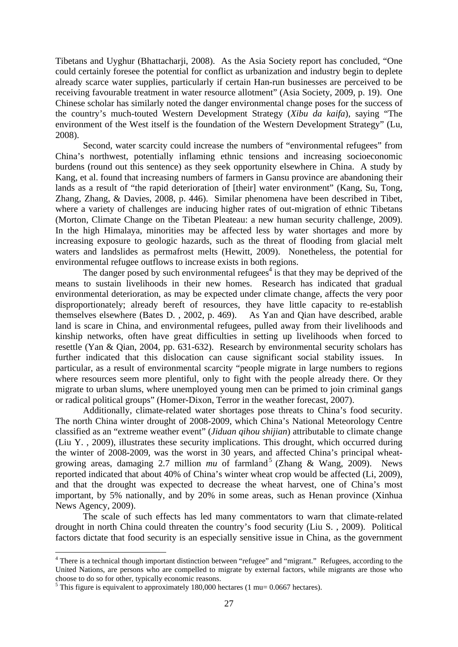Tibetans and Uyghur (Bhattacharji, 2008). As the Asia Society report has concluded, "One could certainly foresee the potential for conflict as urbanization and industry begin to deplete already scarce water supplies, particularly if certain Han-run businesses are perceived to be receiving favourable treatment in water resource allotment" (Asia Society, 2009, p. 19). One Chinese scholar has similarly noted the danger environmental change poses for the success of the country's much-touted Western Development Strategy (*Xibu da kaifa*), saying "The environment of the West itself is the foundation of the Western Development Strategy" (Lu, 2008).

Second, water scarcity could increase the numbers of "environmental refugees" from China's northwest, potentially inflaming ethnic tensions and increasing socioeconomic burdens (round out this sentence) as they seek opportunity elsewhere in China. A study by Kang, et al. found that increasing numbers of farmers in Gansu province are abandoning their lands as a result of "the rapid deterioration of [their] water environment" (Kang, Su, Tong, Zhang, Zhang, & Davies, 2008, p. 446). Similar phenomena have been described in Tibet, where a variety of challenges are inducing higher rates of out-migration of ethnic Tibetans (Morton, Climate Change on the Tibetan Pleateau: a new human security challenge, 2009). In the high Himalaya, minorities may be affected less by water shortages and more by increasing exposure to geologic hazards, such as the threat of flooding from glacial melt waters and landslides as permafrost melts (Hewitt, 2009). Nonetheless, the potential for environmental refugee outflows to increase exists in both regions.

The danger posed by such environmental refugees<sup>4</sup> is that they may be deprived of the means to sustain livelihoods in their new homes. Research has indicated that gradual environmental deterioration, as may be expected under climate change, affects the very poor disproportionately; already bereft of resources, they have little capacity to re-establish themselves elsewhere (Bates D. , 2002, p. 469). As Yan and Qian have described, arable land is scare in China, and environmental refugees, pulled away from their livelihoods and kinship networks, often have great difficulties in setting up livelihoods when forced to resettle (Yan & Qian, 2004, pp. 631-632). Research by environmental security scholars has further indicated that this dislocation can cause significant social stability issues. In particular, as a result of environmental scarcity "people migrate in large numbers to regions where resources seem more plentiful, only to fight with the people already there. Or they migrate to urban slums, where unemployed young men can be primed to join criminal gangs or radical political groups" (Homer-Dixon, Terror in the weather forecast, 2007).

Additionally, climate-related water shortages pose threats to China's food security. The north China winter drought of 2008-2009, which China's National Meteorology Centre classified as an "extreme weather event" (*Jiduan qihou shijian*) attributable to climate change (Liu Y. , 2009), illustrates these security implications. This drought, which occurred during the winter of 2008-2009, was the worst in 30 years, and affected China's principal wheatgrowing areas, damaging 2.7 million  $mu$  of farmland<sup>5</sup> (Zhang & Wang, 2009). News reported indicated that about 40% of China's winter wheat crop would be affected (Li, 2009), and that the drought was expected to decrease the wheat harvest, one of China's most important, by 5% nationally, and by 20% in some areas, such as Henan province (Xinhua News Agency, 2009).

The scale of such effects has led many commentators to warn that climate-related drought in north China could threaten the country's food security (Liu S. , 2009). Political factors dictate that food security is an especially sensitive issue in China, as the government

1

<sup>&</sup>lt;sup>4</sup> There is a technical though important distinction between "refugee" and "migrant." Refugees, according to the United Nations, are persons who are compelled to migrate by external factors, while migrants are those who choose to do so for other, typically economic reasons.

 $<sup>5</sup>$  This figure is equivalent to approximately 180,000 hectares (1 mu= 0.0667 hectares).</sup>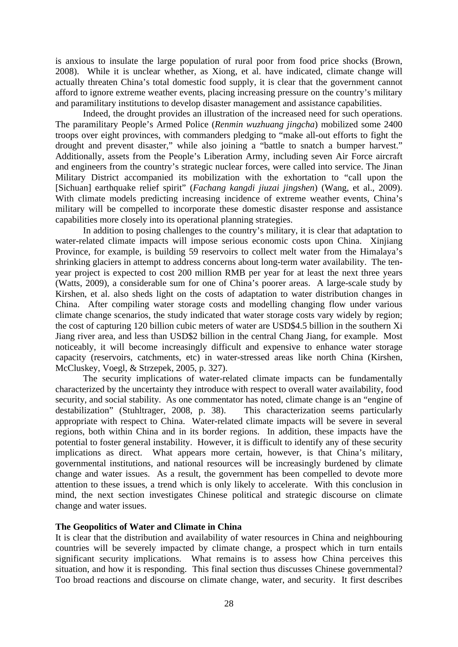is anxious to insulate the large population of rural poor from food price shocks (Brown, 2008). While it is unclear whether, as Xiong, et al. have indicated, climate change will actually threaten China's total domestic food supply, it is clear that the government cannot afford to ignore extreme weather events, placing increasing pressure on the country's military and paramilitary institutions to develop disaster management and assistance capabilities.

Indeed, the drought provides an illustration of the increased need for such operations. The paramilitary People's Armed Police (*Renmin wuzhuang jingcha*) mobilized some 2400 troops over eight provinces, with commanders pledging to "make all-out efforts to fight the drought and prevent disaster," while also joining a "battle to snatch a bumper harvest." Additionally, assets from the People's Liberation Army, including seven Air Force aircraft and engineers from the country's strategic nuclear forces, were called into service. The Jinan Military District accompanied its mobilization with the exhortation to "call upon the [Sichuan] earthquake relief spirit" (*Fachang kangdi jiuzai jingshen*) (Wang, et al., 2009). With climate models predicting increasing incidence of extreme weather events, China's military will be compelled to incorporate these domestic disaster response and assistance capabilities more closely into its operational planning strategies.

In addition to posing challenges to the country's military, it is clear that adaptation to water-related climate impacts will impose serious economic costs upon China. Xinjiang Province, for example, is building 59 reservoirs to collect melt water from the Himalaya's shrinking glaciers in attempt to address concerns about long-term water availability. The tenyear project is expected to cost 200 million RMB per year for at least the next three years (Watts, 2009), a considerable sum for one of China's poorer areas. A large-scale study by Kirshen, et al. also sheds light on the costs of adaptation to water distribution changes in China. After compiling water storage costs and modelling changing flow under various climate change scenarios, the study indicated that water storage costs vary widely by region; the cost of capturing 120 billion cubic meters of water are USD\$4.5 billion in the southern Xi Jiang river area, and less than USD\$2 billion in the central Chang Jiang, for example. Most noticeably, it will become increasingly difficult and expensive to enhance water storage capacity (reservoirs, catchments, etc) in water-stressed areas like north China (Kirshen, McCluskey, Voegl, & Strzepek, 2005, p. 327).

The security implications of water-related climate impacts can be fundamentally characterized by the uncertainty they introduce with respect to overall water availability, food security, and social stability. As one commentator has noted, climate change is an "engine of destabilization" (Stuhltrager, 2008, p. 38). This characterization seems particularly appropriate with respect to China. Water-related climate impacts will be severe in several regions, both within China and in its border regions. In addition, these impacts have the potential to foster general instability. However, it is difficult to identify any of these security implications as direct. What appears more certain, however, is that China's military, governmental institutions, and national resources will be increasingly burdened by climate change and water issues. As a result, the government has been compelled to devote more attention to these issues, a trend which is only likely to accelerate. With this conclusion in mind, the next section investigates Chinese political and strategic discourse on climate change and water issues.

# **The Geopolitics of Water and Climate in China**

It is clear that the distribution and availability of water resources in China and neighbouring countries will be severely impacted by climate change, a prospect which in turn entails significant security implications. What remains is to assess how China perceives this situation, and how it is responding. This final section thus discusses Chinese governmental? Too broad reactions and discourse on climate change, water, and security. It first describes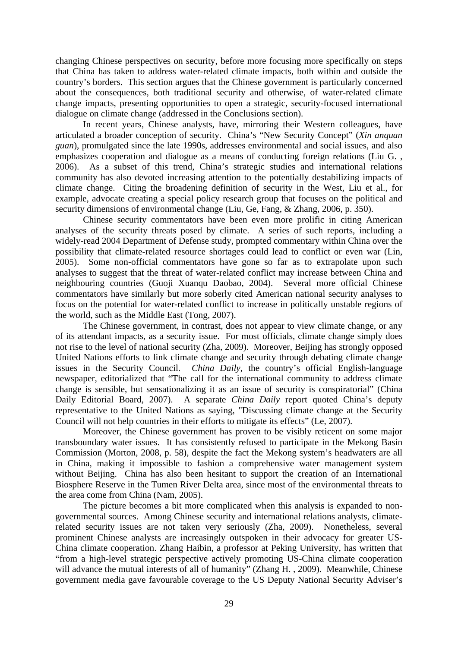changing Chinese perspectives on security, before more focusing more specifically on steps that China has taken to address water-related climate impacts, both within and outside the country's borders. This section argues that the Chinese government is particularly concerned about the consequences, both traditional security and otherwise, of water-related climate change impacts, presenting opportunities to open a strategic, security-focused international dialogue on climate change (addressed in the Conclusions section).

In recent years, Chinese analysts, have, mirroring their Western colleagues, have articulated a broader conception of security. China's "New Security Concept" (*Xin anquan guan*), promulgated since the late 1990s, addresses environmental and social issues, and also emphasizes cooperation and dialogue as a means of conducting foreign relations (Liu G. , 2006). As a subset of this trend, China's strategic studies and international relations community has also devoted increasing attention to the potentially destabilizing impacts of climate change. Citing the broadening definition of security in the West, Liu et al., for example, advocate creating a special policy research group that focuses on the political and security dimensions of environmental change (Liu, Ge, Fang, & Zhang, 2006, p. 350).

Chinese security commentators have been even more prolific in citing American analyses of the security threats posed by climate. A series of such reports, including a widely-read 2004 Department of Defense study, prompted commentary within China over the possibility that climate-related resource shortages could lead to conflict or even war (Lin, 2005). Some non-official commentators have gone so far as to extrapolate upon such analyses to suggest that the threat of water-related conflict may increase between China and neighbouring countries (Guoji Xuanqu Daobao, 2004). Several more official Chinese commentators have similarly but more soberly cited American national security analyses to focus on the potential for water-related conflict to increase in politically unstable regions of the world, such as the Middle East (Tong, 2007).

The Chinese government, in contrast, does not appear to view climate change, or any of its attendant impacts, as a security issue. For most officials, climate change simply does not rise to the level of national security (Zha, 2009). Moreover, Beijing has strongly opposed United Nations efforts to link climate change and security through debating climate change issues in the Security Council. *China Daily*, the country's official English-language newspaper, editorialized that "The call for the international community to address climate change is sensible, but sensationalizing it as an issue of security is conspiratorial" (China Daily Editorial Board, 2007). A separate *China Daily* report quoted China's deputy representative to the United Nations as saying, "Discussing climate change at the Security Council will not help countries in their efforts to mitigate its effects" (Le, 2007).

Moreover, the Chinese government has proven to be visibly reticent on some major transboundary water issues. It has consistently refused to participate in the Mekong Basin Commission (Morton, 2008, p. 58), despite the fact the Mekong system's headwaters are all in China, making it impossible to fashion a comprehensive water management system without Beijing. China has also been hesitant to support the creation of an International Biosphere Reserve in the Tumen River Delta area, since most of the environmental threats to the area come from China (Nam, 2005).

The picture becomes a bit more complicated when this analysis is expanded to nongovernmental sources. Among Chinese security and international relations analysts, climaterelated security issues are not taken very seriously (Zha, 2009). Nonetheless, several prominent Chinese analysts are increasingly outspoken in their advocacy for greater US-China climate cooperation. Zhang Haibin, a professor at Peking University, has written that "from a high-level strategic perspective actively promoting US-China climate cooperation will advance the mutual interests of all of humanity" (Zhang H., 2009). Meanwhile, Chinese government media gave favourable coverage to the US Deputy National Security Adviser's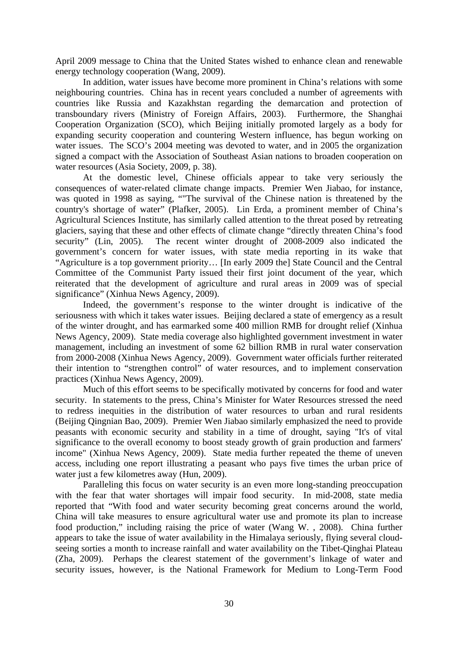April 2009 message to China that the United States wished to enhance clean and renewable energy technology cooperation (Wang, 2009).

In addition, water issues have become more prominent in China's relations with some neighbouring countries. China has in recent years concluded a number of agreements with countries like Russia and Kazakhstan regarding the demarcation and protection of transboundary rivers (Ministry of Foreign Affairs, 2003). Furthermore, the Shanghai Cooperation Organization (SCO), which Beijing initially promoted largely as a body for expanding security cooperation and countering Western influence, has begun working on water issues. The SCO's 2004 meeting was devoted to water, and in 2005 the organization signed a compact with the Association of Southeast Asian nations to broaden cooperation on water resources (Asia Society, 2009, p. 38).

At the domestic level, Chinese officials appear to take very seriously the consequences of water-related climate change impacts. Premier Wen Jiabao, for instance, was quoted in 1998 as saying, ""The survival of the Chinese nation is threatened by the country's shortage of water" (Plafker, 2005). Lin Erda, a prominent member of China's Agricultural Sciences Institute, has similarly called attention to the threat posed by retreating glaciers, saying that these and other effects of climate change "directly threaten China's food security" (Lin, 2005). The recent winter drought of 2008-2009 also indicated the government's concern for water issues, with state media reporting in its wake that "Agriculture is a top government priority… [In early 2009 the] State Council and the Central Committee of the Communist Party issued their first joint document of the year, which reiterated that the development of agriculture and rural areas in 2009 was of special significance" (Xinhua News Agency, 2009).

Indeed, the government's response to the winter drought is indicative of the seriousness with which it takes water issues. Beijing declared a state of emergency as a result of the winter drought, and has earmarked some 400 million RMB for drought relief (Xinhua News Agency, 2009). State media coverage also highlighted government investment in water management, including an investment of some 62 billion RMB in rural water conservation from 2000-2008 (Xinhua News Agency, 2009). Government water officials further reiterated their intention to "strengthen control" of water resources, and to implement conservation practices (Xinhua News Agency, 2009).

Much of this effort seems to be specifically motivated by concerns for food and water security. In statements to the press, China's Minister for Water Resources stressed the need to redress inequities in the distribution of water resources to urban and rural residents (Beijing Qingnian Bao, 2009). Premier Wen Jiabao similarly emphasized the need to provide peasants with economic security and stability in a time of drought, saying "It's of vital significance to the overall economy to boost steady growth of grain production and farmers' income" (Xinhua News Agency, 2009). State media further repeated the theme of uneven access, including one report illustrating a peasant who pays five times the urban price of water just a few kilometres away (Hun, 2009).

Paralleling this focus on water security is an even more long-standing preoccupation with the fear that water shortages will impair food security. In mid-2008, state media reported that "With food and water security becoming great concerns around the world, China will take measures to ensure agricultural water use and promote its plan to increase food production," including raising the price of water (Wang W. , 2008). China further appears to take the issue of water availability in the Himalaya seriously, flying several cloudseeing sorties a month to increase rainfall and water availability on the Tibet-Qinghai Plateau (Zha, 2009). Perhaps the clearest statement of the government's linkage of water and security issues, however, is the National Framework for Medium to Long-Term Food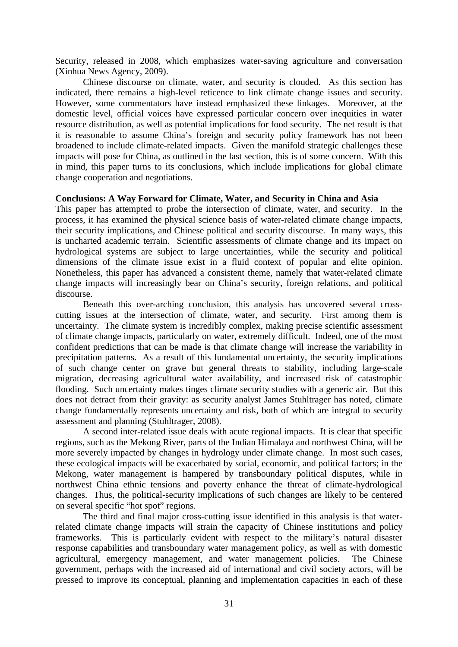Security, released in 2008, which emphasizes water-saving agriculture and conversation (Xinhua News Agency, 2009).

Chinese discourse on climate, water, and security is clouded. As this section has indicated, there remains a high-level reticence to link climate change issues and security. However, some commentators have instead emphasized these linkages. Moreover, at the domestic level, official voices have expressed particular concern over inequities in water resource distribution, as well as potential implications for food security. The net result is that it is reasonable to assume China's foreign and security policy framework has not been broadened to include climate-related impacts. Given the manifold strategic challenges these impacts will pose for China, as outlined in the last section, this is of some concern. With this in mind, this paper turns to its conclusions, which include implications for global climate change cooperation and negotiations.

# **Conclusions: A Way Forward for Climate, Water, and Security in China and Asia**

This paper has attempted to probe the intersection of climate, water, and security. In the process, it has examined the physical science basis of water-related climate change impacts, their security implications, and Chinese political and security discourse. In many ways, this is uncharted academic terrain. Scientific assessments of climate change and its impact on hydrological systems are subject to large uncertainties, while the security and political dimensions of the climate issue exist in a fluid context of popular and elite opinion. Nonetheless, this paper has advanced a consistent theme, namely that water-related climate change impacts will increasingly bear on China's security, foreign relations, and political discourse.

Beneath this over-arching conclusion, this analysis has uncovered several crosscutting issues at the intersection of climate, water, and security. First among them is uncertainty. The climate system is incredibly complex, making precise scientific assessment of climate change impacts, particularly on water, extremely difficult. Indeed, one of the most confident predictions that can be made is that climate change will increase the variability in precipitation patterns. As a result of this fundamental uncertainty, the security implications of such change center on grave but general threats to stability, including large-scale migration, decreasing agricultural water availability, and increased risk of catastrophic flooding. Such uncertainty makes tinges climate security studies with a generic air. But this does not detract from their gravity: as security analyst James Stuhltrager has noted, climate change fundamentally represents uncertainty and risk, both of which are integral to security assessment and planning (Stuhltrager, 2008).

A second inter-related issue deals with acute regional impacts. It is clear that specific regions, such as the Mekong River, parts of the Indian Himalaya and northwest China, will be more severely impacted by changes in hydrology under climate change. In most such cases, these ecological impacts will be exacerbated by social, economic, and political factors; in the Mekong, water management is hampered by transboundary political disputes, while in northwest China ethnic tensions and poverty enhance the threat of climate-hydrological changes. Thus, the political-security implications of such changes are likely to be centered on several specific "hot spot" regions.

The third and final major cross-cutting issue identified in this analysis is that waterrelated climate change impacts will strain the capacity of Chinese institutions and policy frameworks. This is particularly evident with respect to the military's natural disaster response capabilities and transboundary water management policy, as well as with domestic agricultural, emergency management, and water management policies. The Chinese government, perhaps with the increased aid of international and civil society actors, will be pressed to improve its conceptual, planning and implementation capacities in each of these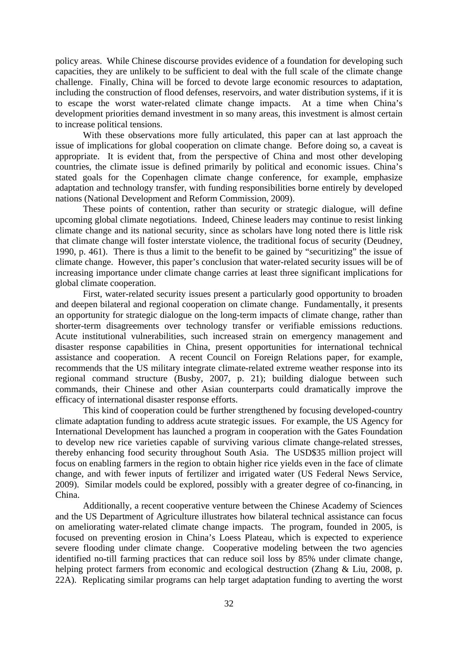policy areas. While Chinese discourse provides evidence of a foundation for developing such capacities, they are unlikely to be sufficient to deal with the full scale of the climate change challenge. Finally, China will be forced to devote large economic resources to adaptation, including the construction of flood defenses, reservoirs, and water distribution systems, if it is to escape the worst water-related climate change impacts. At a time when China's development priorities demand investment in so many areas, this investment is almost certain to increase political tensions.

With these observations more fully articulated, this paper can at last approach the issue of implications for global cooperation on climate change. Before doing so, a caveat is appropriate. It is evident that, from the perspective of China and most other developing countries, the climate issue is defined primarily by political and economic issues. China's stated goals for the Copenhagen climate change conference, for example, emphasize adaptation and technology transfer, with funding responsibilities borne entirely by developed nations (National Development and Reform Commission, 2009).

These points of contention, rather than security or strategic dialogue, will define upcoming global climate negotiations. Indeed, Chinese leaders may continue to resist linking climate change and its national security, since as scholars have long noted there is little risk that climate change will foster interstate violence, the traditional focus of security (Deudney, 1990, p. 461). There is thus a limit to the benefit to be gained by "securitizing" the issue of climate change. However, this paper's conclusion that water-related security issues will be of increasing importance under climate change carries at least three significant implications for global climate cooperation.

First, water-related security issues present a particularly good opportunity to broaden and deepen bilateral and regional cooperation on climate change. Fundamentally, it presents an opportunity for strategic dialogue on the long-term impacts of climate change, rather than shorter-term disagreements over technology transfer or verifiable emissions reductions. Acute institutional vulnerabilities, such increased strain on emergency management and disaster response capabilities in China, present opportunities for international technical assistance and cooperation. A recent Council on Foreign Relations paper, for example, recommends that the US military integrate climate-related extreme weather response into its regional command structure (Busby, 2007, p. 21); building dialogue between such commands, their Chinese and other Asian counterparts could dramatically improve the efficacy of international disaster response efforts.

This kind of cooperation could be further strengthened by focusing developed-country climate adaptation funding to address acute strategic issues. For example, the US Agency for International Development has launched a program in cooperation with the Gates Foundation to develop new rice varieties capable of surviving various climate change-related stresses, thereby enhancing food security throughout South Asia. The USD\$35 million project will focus on enabling farmers in the region to obtain higher rice yields even in the face of climate change, and with fewer inputs of fertilizer and irrigated water (US Federal News Service, 2009). Similar models could be explored, possibly with a greater degree of co-financing, in China.

Additionally, a recent cooperative venture between the Chinese Academy of Sciences and the US Department of Agriculture illustrates how bilateral technical assistance can focus on ameliorating water-related climate change impacts. The program, founded in 2005, is focused on preventing erosion in China's Loess Plateau, which is expected to experience severe flooding under climate change. Cooperative modeling between the two agencies identified no-till farming practices that can reduce soil loss by 85% under climate change, helping protect farmers from economic and ecological destruction (Zhang & Liu, 2008, p. 22A). Replicating similar programs can help target adaptation funding to averting the worst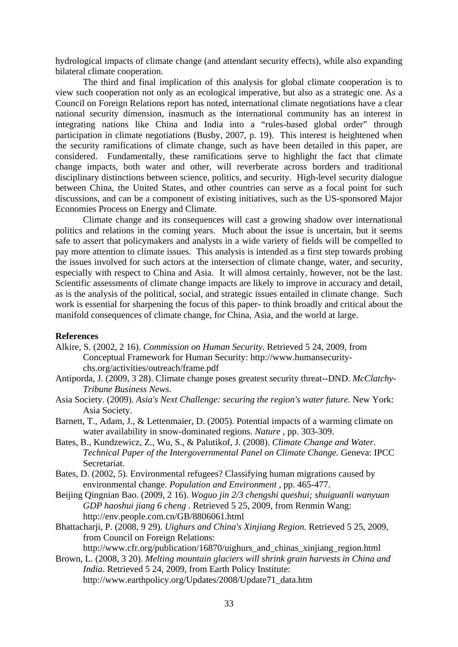hydrological impacts of climate change (and attendant security effects), while also expanding bilateral climate cooperation.

The third and final implication of this analysis for global climate cooperation is to view such cooperation not only as an ecological imperative, but also as a strategic one. As a Council on Foreign Relations report has noted, international climate negotiations have a clear national security dimension, inasmuch as the international community has an interest in integrating nations like China and India into a "rules-based global order" through participation in climate negotiations (Busby, 2007, p. 19). This interest is heightened when the security ramifications of climate change, such as have been detailed in this paper, are considered. Fundamentally, these ramifications serve to highlight the fact that climate change impacts, both water and other, will reverberate across borders and traditional disciplinary distinctions between science, politics, and security. High-level security dialogue between China, the United States, and other countries can serve as a focal point for such discussions, and can be a component of existing initiatives, such as the US-sponsored Major Economies Process on Energy and Climate.

Climate change and its consequences will cast a growing shadow over international politics and relations in the coming years. Much about the issue is uncertain, but it seems safe to assert that policymakers and analysts in a wide variety of fields will be compelled to pay more attention to climate issues. This analysis is intended as a first step towards probing the issues involved for such actors at the intersection of climate change, water, and security, especially with respect to China and Asia. It will almost certainly, however, not be the last. Scientific assessments of climate change impacts are likely to improve in accuracy and detail, as is the analysis of the political, social, and strategic issues entailed in climate change. Such work is essential for sharpening the focus of this paper- to think broadly and critical about the manifold consequences of climate change, for China, Asia, and the world at large.

#### **References**

- Alkire, S. (2002, 2 16). *Commission on Human Security.* Retrieved 5 24, 2009, from Conceptual Framework for Human Security: http://www.humansecurity chs.org/activities/outreach/frame.pdf
- Antiporda, J. (2009, 3 28). Climate change poses greatest security threat--DND. *McClatchy- Tribune Business News*.
- Asia Society. (2009). *Asia's Next Challenge: securing the region's water future.* New York: Asia Society.
- Barnett, T., Adam, J., & Lettenmaier, D. (2005). Potential impacts of a warming climate on water availability in snow-dominated regions. *Nature* , pp. 303-309.
- Bates, B., Kundzewicz, Z., Wu, S., & Palutikof, J. (2008). *Climate Change and Water. Technical Paper of the Intergovernmental Panel on Climate Change.* Geneva: IPCC Secretariat.
- Bates, D. (2002, 5). Environmental refugees? Classifying human migrations caused by environmental change. *Population and Environment* , pp. 465-477.
- Beijing Qingnian Bao. (2009, 2 16). *Woguo jin 2/3 chengshi queshui; shuiguanli wanyuan GDP haoshui jiang 6 cheng .* Retrieved 5 25, 2009, from Renmin Wang: http://env.people.com.cn/GB/8806061.html
- Bhattacharji, P. (2008, 9 29). *Uighurs and China's Xinjiang Region.* Retrieved 5 25, 2009, from Council on Foreign Relations:

http://www.cfr.org/publication/16870/uighurs\_and\_chinas\_xinjiang\_region.html

Brown, L. (2008, 3 20). *Melting mountain glaciers will shrink grain harvests in China and India.* Retrieved 5 24, 2009, from Earth Policy Institute: http://www.earthpolicy.org/Updates/2008/Update71\_data.htm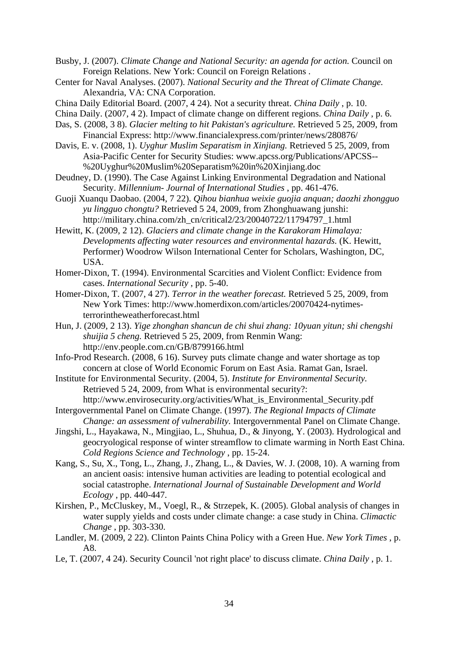Busby, J. (2007). *Climate Change and National Security: an agenda for action.* Council on Foreign Relations. New York: Council on Foreign Relations .

- Center for Naval Analyses. (2007). *National Security and the Threat of Climate Change.* Alexandria, VA: CNA Corporation.
- China Daily Editorial Board. (2007, 4 24). Not a security threat. *China Daily* , p. 10.
- China Daily. (2007, 4 2). Impact of climate change on different regions. *China Daily* , p. 6.
- Das, S. (2008, 3 8). *Glacier melting to hit Pakistan's agriculture.* Retrieved 5 25, 2009, from Financial Express: http://www.financialexpress.com/printer/news/280876/
- Davis, E. v. (2008, 1). *Uyghur Muslim Separatism in Xinjiang.* Retrieved 5 25, 2009, from Asia-Pacific Center for Security Studies: www.apcss.org/Publications/APCSS-- %20Uyghur%20Muslim%20Separatism%20in%20Xinjiang.doc
- Deudney, D. (1990). The Case Against Linking Environmental Degradation and National Security. *Millennium- Journal of International Studies* , pp. 461-476.
- Guoji Xuanqu Daobao. (2004, 7 22). *Qihou bianhua weixie guojia anquan; daozhi zhongguo yu lingguo chongtu?* Retrieved 5 24, 2009, from Zhonghuawang junshi: http://military.china.com/zh\_cn/critical2/23/20040722/11794797\_1.html
- Hewitt, K. (2009, 2 12). *Glaciers and climate change in the Karakoram Himalaya: Developments affecting water resources and environmental hazards.* (K. Hewitt, Performer) Woodrow Wilson International Center for Scholars, Washington, DC, USA.
- Homer-Dixon, T. (1994). Environmental Scarcities and Violent Conflict: Evidence from cases. *International Security* , pp. 5-40.
- Homer-Dixon, T. (2007, 4 27). *Terror in the weather forecast.* Retrieved 5 25, 2009, from New York Times: http://www.homerdixon.com/articles/20070424-nytimes terrorintheweatherforecast.html
- Hun, J. (2009, 2 13). *Yige zhonghan shancun de chi shui zhang: 10yuan yitun; shi chengshi shuijia 5 cheng.* Retrieved 5 25, 2009, from Renmin Wang: http://env.people.com.cn/GB/8799166.html
- Info-Prod Research. (2008, 6 16). Survey puts climate change and water shortage as top concern at close of World Economic Forum on East Asia. Ramat Gan, Israel.
- Institute for Environmental Security. (2004, 5). *Institute for Environmental Security.* Retrieved 5 24, 2009, from What is environmental security?: http://www.envirosecurity.org/activities/What\_is\_Environmental\_Security.pdf
- Intergovernmental Panel on Climate Change. (1997). *The Regional Impacts of Climate Change: an assessment of vulnerability.* Intergovernmental Panel on Climate Change.
- Jingshi, L., Hayakawa, N., Mingjiao, L., Shuhua, D., & Jinyong, Y. (2003). Hydrological and geocryological response of winter streamflow to climate warming in North East China. *Cold Regions Science and Technology* , pp. 15-24.
- Kang, S., Su, X., Tong, L., Zhang, J., Zhang, L., & Davies, W. J. (2008, 10). A warning from an ancient oasis: intensive human activities are leading to potential ecological and social catastrophe. *International Journal of Sustainable Development and World Ecology* , pp. 440-447.
- Kirshen, P., McCluskey, M., Voegl, R., & Strzepek, K. (2005). Global analysis of changes in water supply yields and costs under climate change: a case study in China. *Climactic Change* , pp. 303-330.
- Landler, M. (2009, 2 22). Clinton Paints China Policy with a Green Hue. *New York Times* , p. A8.
- Le, T. (2007, 4 24). Security Council 'not right place' to discuss climate. *China Daily* , p. 1.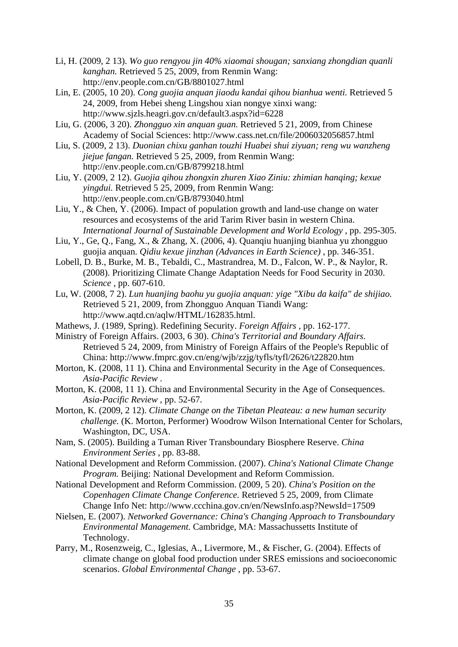- Li, H. (2009, 2 13). *Wo guo rengyou jin 40% xiaomai shougan; sanxiang zhongdian quanli kanghan.* Retrieved 5 25, 2009, from Renmin Wang: http://env.people.com.cn/GB/8801027.html
- Lin, E. (2005, 10 20). *Cong guojia anquan jiaodu kandai qihou bianhua wenti.* Retrieved 5 24, 2009, from Hebei sheng Lingshou xian nongye xinxi wang: http://www.sjzls.heagri.gov.cn/default3.aspx?id=6228
- Liu, G. (2006, 3 20). *Zhongguo xin anquan guan.* Retrieved 5 21, 2009, from Chinese Academy of Social Sciences: http://www.cass.net.cn/file/2006032056857.html
- Liu, S. (2009, 2 13). *Duonian chixu ganhan touzhi Huabei shui ziyuan; reng wu wanzheng jiejue fangan.* Retrieved 5 25, 2009, from Renmin Wang: http://env.people.com.cn/GB/8799218.html

Liu, Y. (2009, 2 12). *Guojia qihou zhongxin zhuren Xiao Ziniu: zhimian hanqing; kexue yingdui.* Retrieved 5 25, 2009, from Renmin Wang: http://env.people.com.cn/GB/8793040.html

Liu, Y., & Chen, Y. (2006). Impact of population growth and land-use change on water resources and ecosystems of the arid Tarim River basin in western China. *International Journal of Sustainable Development and World Ecology* , pp. 295-305.

Liu, Y., Ge, Q., Fang, X., & Zhang, X. (2006, 4). Quanqiu huanjing bianhua yu zhongguo guojia anquan. *Qidiu kexue jinzhan (Advances in Earth Science)* , pp. 346-351.

- Lobell, D. B., Burke, M. B., Tebaldi, C., Mastrandrea, M. D., Falcon, W. P., & Naylor, R. (2008). Prioritizing Climate Change Adaptation Needs for Food Security in 2030. *Science* , pp. 607-610.
- Lu, W. (2008, 7 2). *Lun huanjing baohu yu guojia anquan: yige "Xibu da kaifa" de shijiao.* Retrieved 5 21, 2009, from Zhongguo Anquan Tiandi Wang: http://www.aqtd.cn/aqlw/HTML/162835.html.
- Mathews, J. (1989, Spring). Redefining Security. *Foreign Affairs* , pp. 162-177.
- Ministry of Foreign Affairs. (2003, 6 30). *China's Territorial and Boundary Affairs*. Retrieved 5 24, 2009, from Ministry of Foreign Affairs of the People's Republic of China: http://www.fmprc.gov.cn/eng/wjb/zzjg/tyfls/tyfl/2626/t22820.htm
- Morton, K. (2008, 11 1). China and Environmental Security in the Age of Consequences. *Asia-Pacific Review* .
- Morton, K. (2008, 11 1). China and Environmental Security in the Age of Consequences. *Asia-Pacific Review* , pp. 52-67.
- Morton, K. (2009, 2 12). *Climate Change on the Tibetan Pleateau: a new human security challenge.* (K. Morton, Performer) Woodrow Wilson International Center for Scholars, Washington, DC, USA.

Nam, S. (2005). Building a Tuman River Transboundary Biosphere Reserve. *China Environment Series* , pp. 83-88.

National Development and Reform Commission. (2007). *China's National Climate Change Program.* Beijing: National Development and Reform Commission.

National Development and Reform Commission. (2009, 5 20). *China's Position on the Copenhagen Climate Change Conference.* Retrieved 5 25, 2009, from Climate Change Info Net: http://www.ccchina.gov.cn/en/NewsInfo.asp?NewsId=17509

Nielsen, E. (2007). *Networked Governance: China's Changing Approach to Transboundary Environmental Management.* Cambridge, MA: Massachussetts Institute of Technology.

Parry, M., Rosenzweig, C., Iglesias, A., Livermore, M., & Fischer, G. (2004). Effects of climate change on global food production under SRES emissions and socioeconomic scenarios. *Global Environmental Change* , pp. 53-67.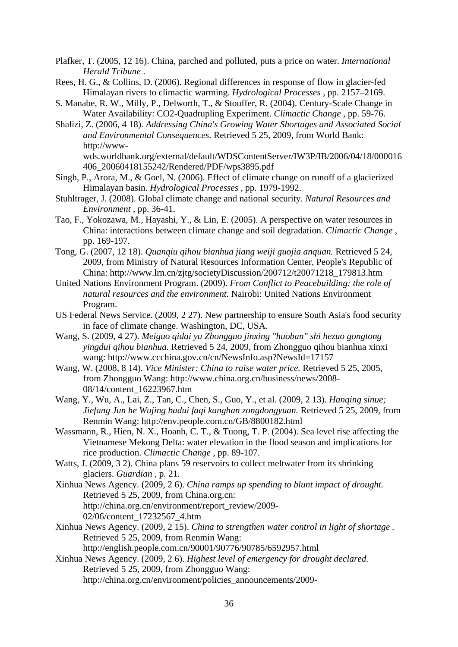- Plafker, T. (2005, 12 16). China, parched and polluted, puts a price on water. *International Herald Tribune* .
- Rees, H. G., & Collins, D. (2006). Regional differences in response of flow in glacier-fed Himalayan rivers to climactic warming. *Hydrological Processes* , pp. 2157–2169.
- S. Manabe, R. W., Milly, P., Delworth, T., & Stouffer, R. (2004). Century-Scale Change in Water Availability: CO2-Quadrupling Experiment. *Climactic Change* , pp. 59-76.
- Shalizi, Z. (2006, 4 18). *Addressing China's Growing Water Shortages and Associated Social and Environmental Consequences.* Retrieved 5 25, 2009, from World Bank: http://www wds.worldbank.org/external/default/WDSContentServer/IW3P/IB/2006/04/18/000016 406\_20060418155242/Rendered/PDF/wps3895.pdf
- Singh, P., Arora, M., & Goel, N. (2006). Effect of climate change on runoff of a glacierized Himalayan basin. *Hydrological Processes* , pp. 1979-1992.
- Stuhltrager, J. (2008). Global climate change and national security. *Natural Resources and Environment* , pp. 36-41.
- Tao, F., Yokozawa, M., Hayashi, Y., & Lin, E. (2005). A perspective on water resources in China: interactions between climate change and soil degradation. *Climactic Change* , pp. 169-197.
- Tong, G. (2007, 12 18). *Quanqiu qihou bianhua jiang weiji guojia anquan.* Retrieved 5 24, 2009, from Ministry of Natural Resources Information Center, People's Republic of China: http://www.lrn.cn/zjtg/societyDiscussion/200712/t20071218\_179813.htm
- United Nations Environment Program. (2009). *From Conflict to Peacebuilding: the role of natural resources and the environment.* Nairobi: United Nations Environment Program.
- US Federal News Service. (2009, 2 27). New partnership to ensure South Asia's food security in face of climate change. Washington, DC, USA.
- Wang, S. (2009, 4 27). *Meiguo qidai yu Zhongguo jinxing "huoban" shi hezuo gongtong yingdui qihou bianhua.* Retrieved 5 24, 2009, from Zhongguo qihou bianhua xinxi wang: http://www.ccchina.gov.cn/cn/NewsInfo.asp?NewsId=17157
- Wang, W. (2008, 8 14). *Vice Minister: China to raise water price.* Retrieved 5 25, 2005, from Zhongguo Wang: http://www.china.org.cn/business/news/2008- 08/14/content\_16223967.htm
- Wang, Y., Wu, A., Lai, Z., Tan, C., Chen, S., Guo, Y., et al. (2009, 2 13). *Hanqing sinue; Jiefang Jun he Wujing budui faqi kanghan zongdongyuan.* Retrieved 5 25, 2009, from Renmin Wang: http://env.people.com.cn/GB/8800182.html
- Wassmann, R., Hien, N. X., Hoanh, C. T., & Tuong, T. P. (2004). Sea level rise affecting the Vietnamese Mekong Delta: water elevation in the flood season and implications for rice production. *Climactic Change* , pp. 89-107.
- Watts, J. (2009, 3 2). China plans 59 reservoirs to collect meltwater from its shrinking glaciers. *Guardian* , p. 21.
- Xinhua News Agency. (2009, 2 6). *China ramps up spending to blunt impact of drought.* Retrieved 5 25, 2009, from China.org.cn: http://china.org.cn/environment/report\_review/2009- 02/06/content\_17232567\_4.htm
- Xinhua News Agency. (2009, 2 15). *China to strengthen water control in light of shortage .* Retrieved 5 25, 2009, from Renmin Wang: http://english.people.com.cn/90001/90776/90785/6592957.html
- Xinhua News Agency. (2009, 2 6). *Highest level of emergency for drought declared.* Retrieved 5 25, 2009, from Zhongguo Wang: http://china.org.cn/environment/policies\_announcements/2009-